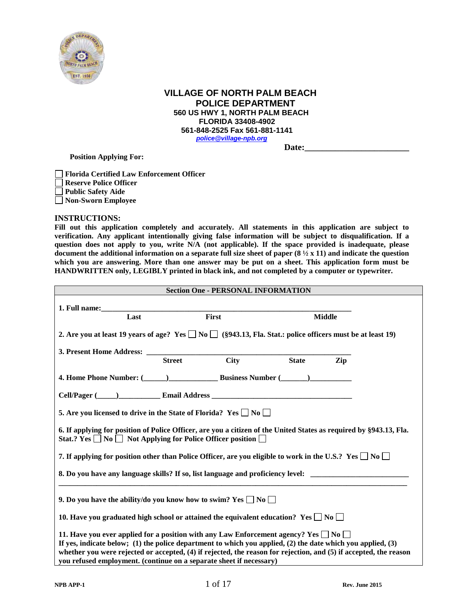

# **VILLAGE OF NORTH PALM BEACH POLICE DEPARTMENT 560 US HWY 1, NORTH PALM BEACH FLORIDA 33408-4902 561-848-2525 Fax 561-881-1141** *[police@village-npb.org](mailto:police@village-npb.org)* Date:

 **Position Applying For:**

**Florida Certified Law Enforcement Officer Reserve Police Officer Public Safety Aide Non-Sworn Employee** 

#### **INSTRUCTIONS:**

**Fill out this application completely and accurately. All statements in this application are subject to verification. Any applicant intentionally giving false information will be subject to disqualification. If a question does not apply to you, write N/A (not applicable). If the space provided is inadequate, please document the additional information on a separate full size sheet of paper (8 ½ x 11) and indicate the question which you are answering. More than one answer may be put on a sheet. This application form must be HANDWRITTEN only, LEGIBLY printed in black ink, and not completed by a computer or typewriter.**

|                                                                                                                                                                                                                                                                                                                                                                                                           |       | <b>Section One - PERSONAL INFORMATION</b> |               |  |  |  |
|-----------------------------------------------------------------------------------------------------------------------------------------------------------------------------------------------------------------------------------------------------------------------------------------------------------------------------------------------------------------------------------------------------------|-------|-------------------------------------------|---------------|--|--|--|
| Last                                                                                                                                                                                                                                                                                                                                                                                                      | First |                                           | <b>Middle</b> |  |  |  |
| 2. Are you at least 19 years of age? Yes $\Box$ No $\Box$ (§943.13, Fla. Stat.: police officers must be at least 19)                                                                                                                                                                                                                                                                                      |       |                                           |               |  |  |  |
| 3. Present Home Address: <u>Street City</u>                                                                                                                                                                                                                                                                                                                                                               |       |                                           |               |  |  |  |
|                                                                                                                                                                                                                                                                                                                                                                                                           |       |                                           | State Zip     |  |  |  |
| 4. Home Phone Number: (Champion Communication Business Number (Champion Communication Communication Communication Communication Communication Communication Communication Communication Communication Communication Communicat                                                                                                                                                                            |       |                                           |               |  |  |  |
| Cell/Pager (Collins Collection 2014) Email Address Collection 2014 and 2014 Collection 2014 and 2014                                                                                                                                                                                                                                                                                                      |       |                                           |               |  |  |  |
| 5. Are you licensed to drive in the State of Florida? Yes $\Box$ No $\Box$                                                                                                                                                                                                                                                                                                                                |       |                                           |               |  |  |  |
| 6. If applying for position of Police Officer, are you a citizen of the United States as required by §943.13, Fla.<br>Stat.? Yes $\Box$ No $\Box$ Not Applying for Police Officer position $\Box$                                                                                                                                                                                                         |       |                                           |               |  |  |  |
| 7. If applying for position other than Police Officer, are you eligible to work in the U.S.? Yes $\square$ No $\square$                                                                                                                                                                                                                                                                                   |       |                                           |               |  |  |  |
| 8. Do you have any language skills? If so, list language and proficiency level: ______________________________                                                                                                                                                                                                                                                                                            |       |                                           |               |  |  |  |
| 9. Do you have the ability/do you know how to swim? Yes $\Box$ No $\Box$<br>10. Have you graduated high school or attained the equivalent education? Yes $\Box$ No $\Box$                                                                                                                                                                                                                                 |       |                                           |               |  |  |  |
| 11. Have you ever applied for a position with any Law Enforcement agency? Yes $\Box$ No $\Box$<br>If yes, indicate below; (1) the police department to which you applied, (2) the date which you applied, (3)<br>whether you were rejected or accepted, (4) if rejected, the reason for rejection, and (5) if accepted, the reason<br>you refused employment. (continue on a separate sheet if necessary) |       |                                           |               |  |  |  |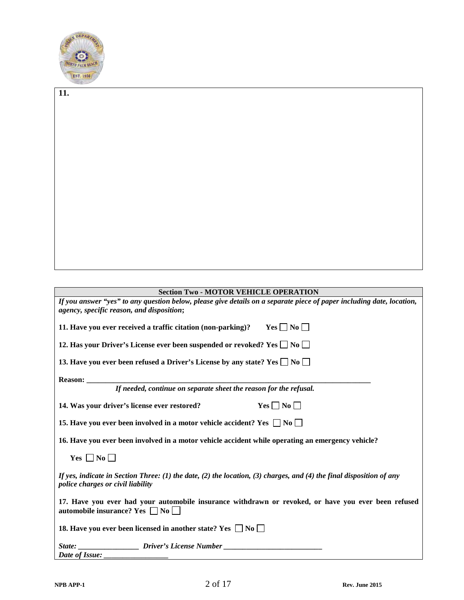

**11.** 

# **Section Two - MOTOR VEHICLE OPERATION**

| If you answer "yes" to any question below, please give details on a separate piece of paper including date, location,<br>agency, specific reason, and disposition; |
|--------------------------------------------------------------------------------------------------------------------------------------------------------------------|
| 11. Have you ever received a traffic citation (non-parking)? Yes $\Box$ No $\Box$                                                                                  |
| 12. Has your Driver's License ever been suspended or revoked? Yes $\Box$ No $\Box$                                                                                 |
| 13. Have you ever been refused a Driver's License by any state? Yes $\Box$ No $\Box$                                                                               |
|                                                                                                                                                                    |
| If needed, continue on separate sheet the reason for the refusal.                                                                                                  |
| $Yes \Box No \Box$<br>14. Was your driver's license ever restored?                                                                                                 |
| 15. Have you ever been involved in a motor vehicle accident? Yes $\Box$ No $\Box$                                                                                  |
| 16. Have you ever been involved in a motor vehicle accident while operating an emergency vehicle?                                                                  |
| Yes $\Box$ No $\Box$                                                                                                                                               |
| If yes, indicate in Section Three: (1) the date, (2) the location, (3) charges, and (4) the final disposition of any<br>police charges or civil liability          |
| 17. Have you ever had your automobile insurance withdrawn or revoked, or have you ever been refused<br>automobile insurance? Yes $\Box$ No $\Box$                  |
| 18. Have you ever been licensed in another state? Yes $\Box$ No $\Box$                                                                                             |
| State: _________________________Driver's License Number ________________________                                                                                   |
| Date of Issue:                                                                                                                                                     |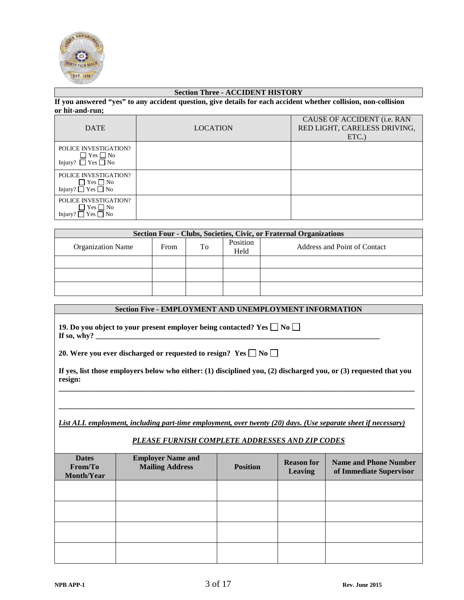

### **Section Three - ACCIDENT HISTORY**

**If you answered "yes" to any accident question, give details for each accident whether collision, non-collision or hit-and-run;**

| <b>DATE</b>                                                                   | <b>LOCATION</b> | CAUSE OF ACCIDENT (i.e. RAN<br>RED LIGHT, CARELESS DRIVING,<br>$ETC$ .) |
|-------------------------------------------------------------------------------|-----------------|-------------------------------------------------------------------------|
| POLICE INVESTIGATION?<br>$\Box$ Yes $\Box$ No<br>Injury? $\Box$ Yes $\Box$ No |                 |                                                                         |
| POLICE INVESTIGATION?<br>$\Box$ Yes $\Box$ No<br>Injury? $\Box$ Yes $\Box$ No |                 |                                                                         |
| POLICE INVESTIGATION?<br>$\Box$ Yes $\Box$ No<br>Injury? $\Box$ Yes $\Box$ No |                 |                                                                         |

| <b>Section Four - Clubs, Societies, Civic, or Fraternal Organizations</b> |      |    |                  |                              |  |  |
|---------------------------------------------------------------------------|------|----|------------------|------------------------------|--|--|
| <b>Organization Name</b>                                                  | From | To | Position<br>Held | Address and Point of Contact |  |  |
|                                                                           |      |    |                  |                              |  |  |
|                                                                           |      |    |                  |                              |  |  |
|                                                                           |      |    |                  |                              |  |  |

# **Section Five - EMPLOYMENT AND UNEMPLOYMENT INFORMATION 19. Do you object to your present employer being contacted? Yes**  $\Box$  **No**  $\Box$ If so, why? \_ **20. Were you ever discharged or requested to resign? Yes**  $\Box$  **No**  $\Box$ **If yes, list those employers below who either: (1) disciplined you, (2) discharged you, or (3) requested that you resign:**

**\_\_\_\_\_\_\_\_\_\_\_\_\_\_\_\_\_\_\_\_\_\_\_\_\_\_\_\_\_\_\_\_\_\_\_\_\_\_\_\_\_\_\_\_\_\_\_\_\_\_\_\_\_\_\_\_\_\_\_\_\_\_\_\_\_\_\_\_\_\_\_\_\_\_\_\_\_\_\_\_\_\_\_\_\_\_\_\_\_\_\_\_\_\_**

**\_\_\_\_\_\_\_\_\_\_\_\_\_\_\_\_\_\_\_\_\_\_\_\_\_\_\_\_\_\_\_\_\_\_\_\_\_\_\_\_\_\_\_\_\_\_\_\_\_\_\_\_\_\_\_\_\_\_\_\_\_\_\_\_\_\_\_\_\_\_\_\_\_\_\_\_\_\_\_\_\_\_\_\_\_\_\_\_\_\_\_\_\_\_**

*List ALL employment, including part-time employment, over twenty (20) days. (Use separate sheet if necessary)*

### *PLEASE FURNISH COMPLETE ADDRESSES AND ZIP CODES*

| <b>Dates</b><br>From/To<br>Month/Year | <b>Employer Name and</b><br><b>Mailing Address</b> | <b>Position</b> | <b>Reason for</b><br><b>Leaving</b> | <b>Name and Phone Number</b><br>of Immediate Supervisor |
|---------------------------------------|----------------------------------------------------|-----------------|-------------------------------------|---------------------------------------------------------|
|                                       |                                                    |                 |                                     |                                                         |
|                                       |                                                    |                 |                                     |                                                         |
|                                       |                                                    |                 |                                     |                                                         |
|                                       |                                                    |                 |                                     |                                                         |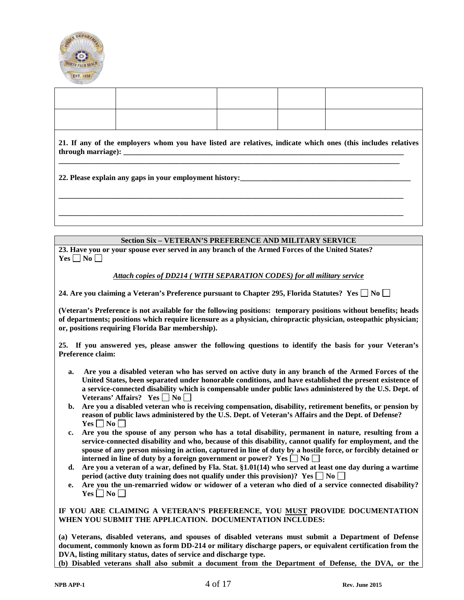

| 21. If any of the employers whom you have listed are relatives, indicate which ones (this includes relatives |  |  |  |  |  |  |  |
|--------------------------------------------------------------------------------------------------------------|--|--|--|--|--|--|--|
|                                                                                                              |  |  |  |  |  |  |  |
|                                                                                                              |  |  |  |  |  |  |  |

### **Section Six – VETERAN'S PREFERENCE AND MILITARY SERVICE**

**23. Have you or your spouse ever served in any branch of the Armed Forces of the United States?**   $Yes \Box No \Box$ 

#### *Attach copies of DD214 ( WITH SEPARATION CODES) for all military service*

24. Are you claiming a Veteran's Preference pursuant to Chapter 295, Florida Statutes? Yes  $\Box$  No  $\Box$ 

**(Veteran's Preference is not available for the following positions: temporary positions without benefits; heads of departments; positions which require licensure as a physician, chiropractic physician, osteopathic physician; or, positions requiring Florida Bar membership).**

**25. If you answered yes, please answer the following questions to identify the basis for your Veteran's Preference claim:**

- **a. Are you a disabled veteran who has served on active duty in any branch of the Armed Forces of the United States, been separated under honorable conditions, and have established the present existence of a service-connected disability which is compensable under public laws administered by the U.S. Dept. of**  Veterans' Affairs? Yes  $\Box$  No  $\Box$
- **b. Are you a disabled veteran who is receiving compensation, disability, retirement benefits, or pension by reason of public laws administered by the U.S. Dept. of Veteran's Affairs and the Dept. of Defense?**   $Yes \Box No \Box$
- **c. Are you the spouse of any person who has a total disability, permanent in nature, resulting from a service-connected disability and who, because of this disability, cannot qualify for employment, and the spouse of any person missing in action, captured in line of duty by a hostile force, or forcibly detained or interned in line of duty by a foreign government or power?** Yes  $\Box$  No  $\Box$
- **d. Are you a veteran of a war, defined by Fla. Stat. §1.01(14) who served at least one day during a wartime period (active duty training does not qualify under this provision)? Yes**  $\Box$  **No**  $\Box$
- **e. Are you the un-remarried widow or widower of a veteran who died of a service connected disability?**   $Yes \Box No \Box$

#### **IF YOU ARE CLAIMING A VETERAN'S PREFERENCE, YOU MUST PROVIDE DOCUMENTATION WHEN YOU SUBMIT THE APPLICATION. DOCUMENTATION INCLUDES:**

**(a) Veterans, disabled veterans, and spouses of disabled veterans must submit a Department of Defense document, commonly known as form DD-214 or military discharge papers, or equivalent certification from the DVA, listing military status, dates of service and discharge type.**

**(b) Disabled veterans shall also submit a document from the Department of Defense, the DVA, or the**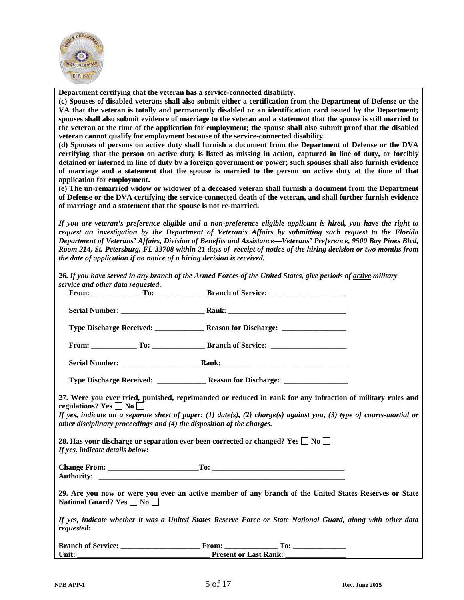

**Department certifying that the veteran has a service-connected disability.**

**(c) Spouses of disabled veterans shall also submit either a certification from the Department of Defense or the VA that the veteran is totally and permanently disabled or an identification card issued by the Department; spouses shall also submit evidence of marriage to the veteran and a statement that the spouse is still married to the veteran at the time of the application for employment; the spouse shall also submit proof that the disabled veteran cannot qualify for employment because of the service-connected disability.**

**(d) Spouses of persons on active duty shall furnish a document from the Department of Defense or the DVA certifying that the person on active duty is listed as missing in action, captured in line of duty, or forcibly detained or interned in line of duty by a foreign government or power; such spouses shall also furnish evidence of marriage and a statement that the spouse is married to the person on active duty at the time of that application for employment.**

**(e) The un-remarried widow or widower of a deceased veteran shall furnish a document from the Department of Defense or the DVA certifying the service-connected death of the veteran, and shall further furnish evidence of marriage and a statement that the spouse is not re-married.**

*If you are veteran's preference eligible and a non-preference eligible applicant is hired, you have the right to request an investigation by the Department of Veteran's Affairs by submitting such request to the Florida Department of Veterans' Affairs, Division of Benefits and Assistance—Veterans' Preference, 9500 Bay Pines Blvd, Room 214, St. Petersburg, FL 33708 within 21 days of receipt of notice of the hiring decision or two months from the date of application if no notice of a hiring decision is received.* 

**26.** *If you have served in any branch of the Armed Forces of the United States, give periods of active military service and other data requested***.** 

| regulations? Yes $\Box$ No $\Box$ | other disciplinary proceedings and (4) the disposition of the charges. | 27. Were you ever tried, punished, reprimanded or reduced in rank for any infraction of military rules and<br>If yes, indicate on a separate sheet of paper: (1) date(s), (2) charge(s) against you, (3) type of courts-martial or |  |
|-----------------------------------|------------------------------------------------------------------------|------------------------------------------------------------------------------------------------------------------------------------------------------------------------------------------------------------------------------------|--|
| If yes, indicate details below:   |                                                                        | 28. Has your discharge or separation ever been corrected or changed? Yes $\square$ No $\square$                                                                                                                                    |  |
|                                   |                                                                        |                                                                                                                                                                                                                                    |  |
| National Guard? Yes ■ No          |                                                                        | 29. Are you now or were you ever an active member of any branch of the United States Reserves or State                                                                                                                             |  |
| requested:                        |                                                                        | If yes, indicate whether it was a United States Reserve Force or State National Guard, along with other data                                                                                                                       |  |
|                                   |                                                                        |                                                                                                                                                                                                                                    |  |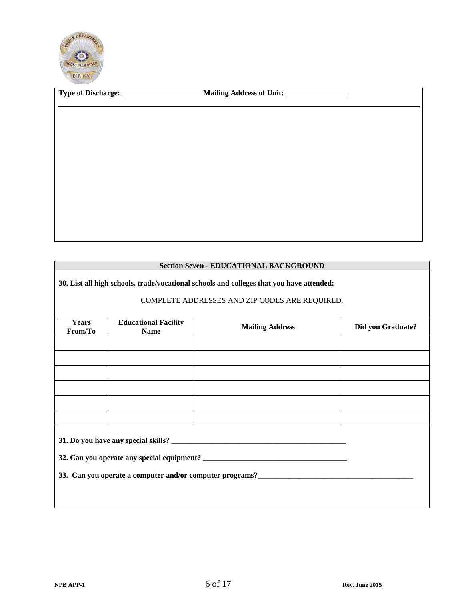

|  | <b>Section Seven - EDUCATIONAL BACKGROUND</b> |
|--|-----------------------------------------------|
|  |                                               |

**30. List all high schools, trade/vocational schools and colleges that you have attended:**

## COMPLETE ADDRESSES AND ZIP CODES ARE REQUIRED.

| <b>Years</b><br>From/To                                                                                              | <b>Educational Facility</b><br><b>Name</b> | <b>Mailing Address</b> | Did you Graduate? |  |  |  |  |  |
|----------------------------------------------------------------------------------------------------------------------|--------------------------------------------|------------------------|-------------------|--|--|--|--|--|
|                                                                                                                      |                                            |                        |                   |  |  |  |  |  |
|                                                                                                                      |                                            |                        |                   |  |  |  |  |  |
|                                                                                                                      |                                            |                        |                   |  |  |  |  |  |
|                                                                                                                      |                                            |                        |                   |  |  |  |  |  |
|                                                                                                                      |                                            |                        |                   |  |  |  |  |  |
|                                                                                                                      |                                            |                        |                   |  |  |  |  |  |
|                                                                                                                      |                                            |                        |                   |  |  |  |  |  |
|                                                                                                                      |                                            |                        |                   |  |  |  |  |  |
| 33. Can you operate a computer and/or computer programs?<br><u>Letter and the computer programs</u><br>$\frac{1}{2}$ |                                            |                        |                   |  |  |  |  |  |
|                                                                                                                      |                                            |                        |                   |  |  |  |  |  |
|                                                                                                                      |                                            |                        |                   |  |  |  |  |  |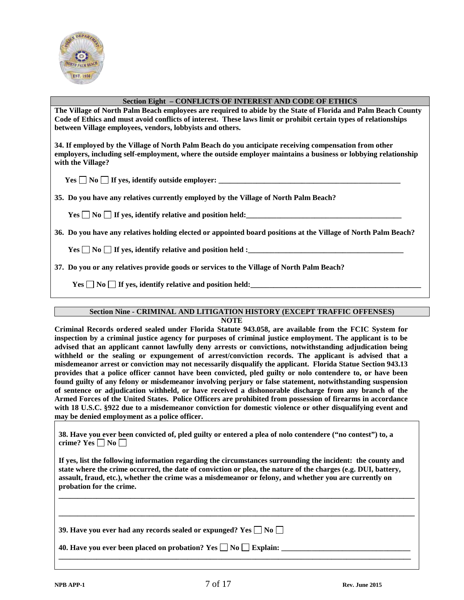

#### **Section Eight – CONFLICTS OF INTEREST AND CODE OF ETHICS**

**The Village of North Palm Beach employees are required to abide by the State of Florida and Palm Beach County Code of Ethics and must avoid conflicts of interest. These laws limit or prohibit certain types of relationships between Village employees, vendors, lobbyists and others.** 

**34. If employed by the Village of North Palm Beach do you anticipate receiving compensation from other employers, including self-employment, where the outside employer maintains a business or lobbying relationship with the Village?**

 $Yes \Box$  No  $\Box$  If yes, identify outside employer:

**35. Do you have any relatives currently employed by the Village of North Palm Beach?**

 ${\rm Yes}$   $\Box$  No  $\Box$  If yes, identify relative and position held:

**36. Do you have any relatives holding elected or appointed board positions at the Village of North Palm Beach?**

 ${\rm Yes} \ \Box \ {\rm No} \ \Box$  If yes, identify relative and position held :

**37. Do you or any relatives provide goods or services to the Village of North Palm Beach?**

 ${\bf Yes} \ \blacksquare \ {\bf No} \ \blacksquare \ {\bf If} \ {\bf ves,} \ {\bf identity} \ {\bf relative} \ {\bf and} \ {\bf position} \ {\bf held:}$ 

### **Section Nine - CRIMINAL AND LITIGATION HISTORY (EXCEPT TRAFFIC OFFENSES)**

### **NOTE**

**Criminal Records ordered sealed under Florida Statute 943.058, are available from the FCIC System for inspection by a criminal justice agency for purposes of criminal justice employment. The applicant is to be advised that an applicant cannot lawfully deny arrests or convictions, notwithstanding adjudication being withheld or the sealing or expungement of arrest/conviction records. The applicant is advised that a misdemeanor arrest or conviction may not necessarily disqualify the applicant. Florida Statue Section 943.13 provides that a police officer cannot have been convicted, pled guilty or nolo contendere to, or have been found guilty of any felony or misdemeanor involving perjury or false statement, notwithstanding suspension of sentence or adjudication withheld, or have received a dishonorable discharge from any branch of the Armed Forces of the United States. Police Officers are prohibited from possession of firearms in accordance with 18 U.S.C. §922 due to a misdemeanor conviction for domestic violence or other disqualifying event and may be denied employment as a police officer.**

**38. Have you ever been convicted of, pled guilty or entered a plea of nolo contendere ("no contest") to, a**  crime? Yes  $\Box$  No  $\Box$ 

**If yes, list the following information regarding the circumstances surrounding the incident: the county and state where the crime occurred, the date of conviction or plea, the nature of the charges (e.g. DUI, battery, assault, fraud, etc.), whether the crime was a misdemeanor or felony, and whether you are currently on probation for the crime.**

**\_\_\_\_\_\_\_\_\_\_\_\_\_\_\_\_\_\_\_\_\_\_\_\_\_\_\_\_\_\_\_\_\_\_\_\_\_\_\_\_\_\_\_\_\_\_\_\_\_\_\_\_\_\_\_\_\_\_\_\_\_\_\_\_\_\_\_\_\_\_\_\_\_\_\_\_\_\_\_\_\_\_\_\_\_\_\_\_\_\_\_\_\_\_**

**\_\_\_\_\_\_\_\_\_\_\_\_\_\_\_\_\_\_\_\_\_\_\_\_\_\_\_\_\_\_\_\_\_\_\_\_\_\_\_\_\_\_\_\_\_\_\_\_\_\_\_\_\_\_\_\_\_\_\_\_\_\_\_\_\_\_\_\_\_\_\_\_\_\_\_\_\_\_\_\_\_\_\_\_\_\_\_\_\_\_\_\_\_\_**

**\_\_\_\_\_\_\_\_\_\_\_\_\_\_\_\_\_\_\_\_\_\_\_\_\_\_\_\_\_\_\_\_\_\_\_\_\_\_\_\_\_\_\_\_\_\_\_\_\_\_\_\_\_\_\_\_\_\_\_\_\_\_\_\_\_\_\_\_\_\_\_\_\_\_\_\_\_\_\_\_\_\_\_\_\_\_\_\_\_\_\_\_\_**

|  |  | 39. Have you ever had any records sealed or expunged? Yes $\Box$ No $\Box$ |  |  |
|--|--|----------------------------------------------------------------------------|--|--|
|  |  |                                                                            |  |  |

**40. Have you ever been placed on probation? Yes**  $\Box$  **No**  $\Box$  **Explain:**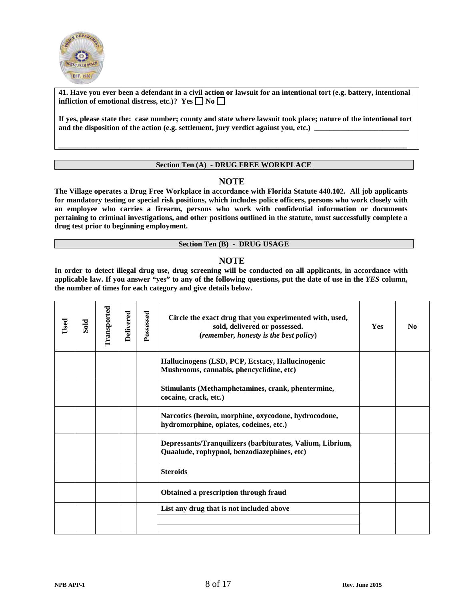

**41. Have you ever been a defendant in a civil action or lawsuit for an intentional tort (e.g. battery, intentional infliction of emotional distress, etc.)?** Yes  $\Box$  No  $\Box$ 

**If yes, please state the: case number; county and state where lawsuit took place; nature of the intentional tort**  and the disposition of the action (e.g. settlement, jury verdict against you, etc.)

### **Section Ten (A) - DRUG FREE WORKPLACE**

**\_\_\_\_\_\_\_\_\_\_\_\_\_\_\_\_\_\_\_\_\_\_\_\_\_\_\_\_\_\_\_\_\_\_\_\_\_\_\_\_\_\_\_\_\_\_\_\_\_\_\_\_\_\_\_\_\_\_\_\_\_\_\_\_\_\_\_\_\_\_\_\_\_\_\_\_\_\_\_\_\_\_\_\_\_\_\_\_\_\_\_\_**

### **NOTE**

**The Village operates a Drug Free Workplace in accordance with Florida Statute 440.102. All job applicants for mandatory testing or special risk positions, which includes police officers, persons who work closely with an employee who carries a firearm, persons who work with confidential information or documents pertaining to criminal investigations, and other positions outlined in the statute, must successfully complete a drug test prior to beginning employment.**

#### **Section Ten (B) - DRUG USAGE**

### **NOTE**

**In order to detect illegal drug use, drug screening will be conducted on all applicants, in accordance with applicable law. If you answer "yes" to any of the following questions, put the date of use in the** *YES* **column, the number of times for each category and give details below.** 

| Used | Sold | Transported | Delivered | Possessed | Circle the exact drug that you experimented with, used,<br>sold, delivered or possessed.<br>(remember, honesty is the best policy) | <b>Yes</b> | N <sub>0</sub> |
|------|------|-------------|-----------|-----------|------------------------------------------------------------------------------------------------------------------------------------|------------|----------------|
|      |      |             |           |           | Hallucinogens (LSD, PCP, Ecstacy, Hallucinogenic<br>Mushrooms, cannabis, phencyclidine, etc)                                       |            |                |
|      |      |             |           |           | Stimulants (Methamphetamines, crank, phentermine,<br>cocaine, crack, etc.)                                                         |            |                |
|      |      |             |           |           | Narcotics (heroin, morphine, oxycodone, hydrocodone,<br>hydromorphine, opiates, codeines, etc.)                                    |            |                |
|      |      |             |           |           | Depressants/Tranquilizers (barbiturates, Valium, Librium,<br>Quaalude, rophypnol, benzodiazephines, etc)                           |            |                |
|      |      |             |           |           | <b>Steroids</b>                                                                                                                    |            |                |
|      |      |             |           |           | Obtained a prescription through fraud                                                                                              |            |                |
|      |      |             |           |           | List any drug that is not included above                                                                                           |            |                |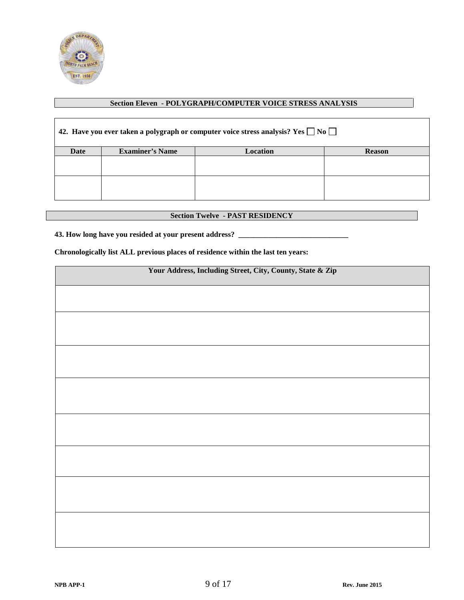

### **Section Eleven - POLYGRAPH/COMPUTER VOICE STRESS ANALYSIS**

| 42. Have you ever taken a polygraph or computer voice stress analysis? Yes $\Box$ No $\Box$ |                        |                 |               |  |  |  |
|---------------------------------------------------------------------------------------------|------------------------|-----------------|---------------|--|--|--|
| Date                                                                                        | <b>Examiner's Name</b> | <b>Location</b> | <b>Reason</b> |  |  |  |
|                                                                                             |                        |                 |               |  |  |  |
|                                                                                             |                        |                 |               |  |  |  |
|                                                                                             |                        |                 |               |  |  |  |
|                                                                                             |                        |                 |               |  |  |  |
|                                                                                             |                        |                 |               |  |  |  |

### **Section Twelve - PAST RESIDENCY**

## **43. How long have you resided at your present address? \_\_\_\_\_\_\_\_\_\_\_\_\_\_\_\_\_\_\_\_\_\_\_\_\_\_\_\_\_**

**Chronologically list ALL previous places of residence within the last ten years:**

| Your Address, Including Street, City, County, State & Zip |  |  |
|-----------------------------------------------------------|--|--|
|                                                           |  |  |
|                                                           |  |  |
|                                                           |  |  |
|                                                           |  |  |
|                                                           |  |  |
|                                                           |  |  |
|                                                           |  |  |
|                                                           |  |  |
|                                                           |  |  |
|                                                           |  |  |
|                                                           |  |  |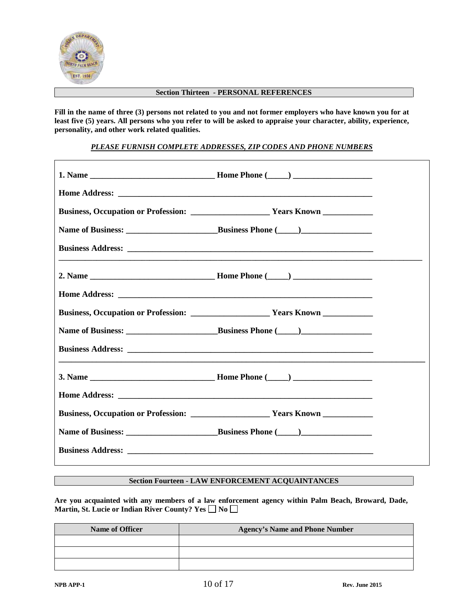

#### **Section Thirteen - PERSONAL REFERENCES**

**Fill in the name of three (3) persons not related to you and not former employers who have known you for at least five (5) years. All persons who you refer to will be asked to appraise your character, ability, experience, personality, and other work related qualities.**

*PLEASE FURNISH COMPLETE ADDRESSES, ZIP CODES AND PHONE NUMBERS*

### **Section Fourteen - LAW ENFORCEMENT ACQUAINTANCES**

**Are you acquainted with any members of a law enforcement agency within Palm Beach, Broward, Dade,**  Martin, St. Lucie or Indian River County? Yes  $\Box$  No  $\Box$ 

| Name of Officer | <b>Agency's Name and Phone Number</b> |  |
|-----------------|---------------------------------------|--|
|                 |                                       |  |
|                 |                                       |  |
|                 |                                       |  |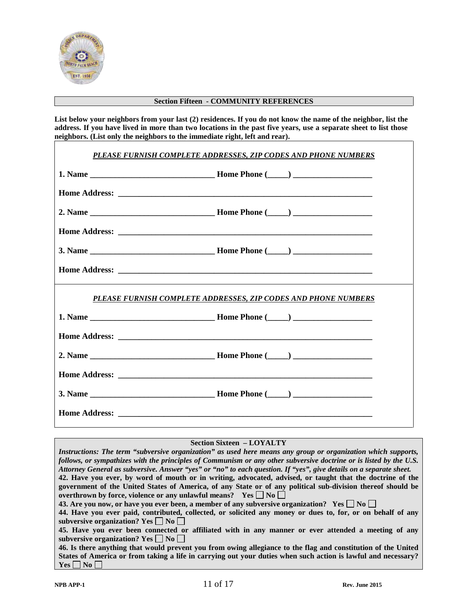

### **Section Fifteen - COMMUNITY REFERENCES**

**List below your neighbors from your last (2) residences. If you do not know the name of the neighbor, list the address. If you have lived in more than two locations in the past five years, use a separate sheet to list those neighbors. (List only the neighbors to the immediate right, left and rear).**

| PLEASE FURNISH COMPLETE ADDRESSES, ZIP CODES AND PHONE NUMBERS |
|----------------------------------------------------------------|
|                                                                |
|                                                                |
|                                                                |
|                                                                |
|                                                                |
|                                                                |
| PLEASE FURNISH COMPLETE ADDRESSES, ZIP CODES AND PHONE NUMBERS |
|                                                                |
|                                                                |
|                                                                |
|                                                                |
|                                                                |
|                                                                |

### **Section Sixteen – LOYALTY**

*Instructions: The term "subversive organization" as used here means any group or organization which supports, follows, or sympathizes with the principles of Communism or any other subversive doctrine or is listed by the U.S. Attorney General as subversive. Answer "yes" or "no" to each question. If "yes", give details on a separate sheet.* **42. Have you ever, by word of mouth or in writing, advocated, advised, or taught that the doctrine of the government of the United States of America, of any State or of any political sub-division thereof should be overthrown by force, violence or any unlawful means?** Yes  $\Box$  No  $\Box$ **43. Are you now, or have you ever been, a member of any subversive organization?** Yes  $\Box$  No  $\Box$ **44. Have you ever paid, contributed, collected, or solicited any money or dues to, for, or on behalf of any subversive organization?** Yes  $\Box$  No  $\Box$ **45. Have you ever been connected or affiliated with in any manner or ever attended a meeting of any subversive organization?** Yes  $\Box$  No  $\Box$ **46. Is there anything that would prevent you from owing allegiance to the flag and constitution of the United States of America or from taking a life in carrying out your duties when such action is lawful and necessary?**   $Yes \Box No \Box$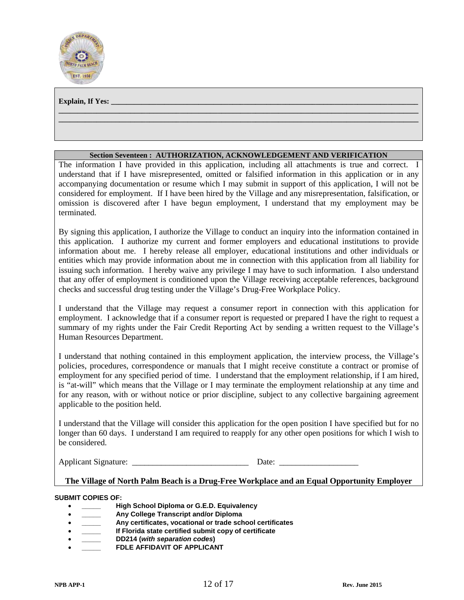

#### **Explain, If Yes:**

### **Section Seventeen : AUTHORIZATION, ACKNOWLEDGEMENT AND VERIFICATION**

**\_\_\_\_\_\_\_\_\_\_\_\_\_\_\_\_\_\_\_\_\_\_\_\_\_\_\_\_\_\_\_\_\_\_\_\_\_\_\_\_\_\_\_\_\_\_\_\_\_\_\_\_\_\_\_\_\_\_\_\_\_\_\_\_\_\_\_\_\_\_\_\_\_\_\_\_\_\_\_\_\_\_\_\_\_\_\_\_\_\_\_\_\_\_\_ \_\_\_\_\_\_\_\_\_\_\_\_\_\_\_\_\_\_\_\_\_\_\_\_\_\_\_\_\_\_\_\_\_\_\_\_\_\_\_\_\_\_\_\_\_\_\_\_\_\_\_\_\_\_\_\_\_\_\_\_\_\_\_\_\_\_\_\_\_\_\_\_\_\_\_\_\_\_\_\_\_\_\_\_\_\_\_\_\_\_\_\_\_\_\_**

The information I have provided in this application, including all attachments is true and correct. I understand that if I have misrepresented, omitted or falsified information in this application or in any accompanying documentation or resume which I may submit in support of this application, I will not be considered for employment. If I have been hired by the Village and any misrepresentation, falsification, or omission is discovered after I have begun employment, I understand that my employment may be terminated.

By signing this application, I authorize the Village to conduct an inquiry into the information contained in this application. I authorize my current and former employers and educational institutions to provide information about me. I hereby release all employer, educational institutions and other individuals or entities which may provide information about me in connection with this application from all liability for issuing such information. I hereby waive any privilege I may have to such information. I also understand that any offer of employment is conditioned upon the Village receiving acceptable references, background checks and successful drug testing under the Village's Drug-Free Workplace Policy.

I understand that the Village may request a consumer report in connection with this application for employment. I acknowledge that if a consumer report is requested or prepared I have the right to request a summary of my rights under the Fair Credit Reporting Act by sending a written request to the Village's Human Resources Department.

I understand that nothing contained in this employment application, the interview process, the Village's policies, procedures, correspondence or manuals that I might receive constitute a contract or promise of employment for any specified period of time. I understand that the employment relationship, if I am hired, is "at-will" which means that the Village or I may terminate the employment relationship at any time and for any reason, with or without notice or prior discipline, subject to any collective bargaining agreement applicable to the position held.

I understand that the Village will consider this application for the open position I have specified but for no longer than 60 days. I understand I am required to reapply for any other open positions for which I wish to be considered.

Applicant Signature: <u>Date:</u> Equal Date:

### **The Village of North Palm Beach is a Drug-Free Workplace and an Equal Opportunity Employer**

### **SUBMIT COPIES OF:**

- **\_\_\_\_\_ High School Diploma or G.E.D. Equivalency**
- **\_\_\_\_\_ Any College Transcript and/or Diploma**
- **\_\_\_\_\_ Any certificates, vocational or trade school certificates**
- **\_\_\_\_\_ If Florida state certified submit copy of certificate**
- **\_\_\_\_\_ DD214 (***with separation codes***)**
- **FDLE AFFIDAVIT OF APPLICANT**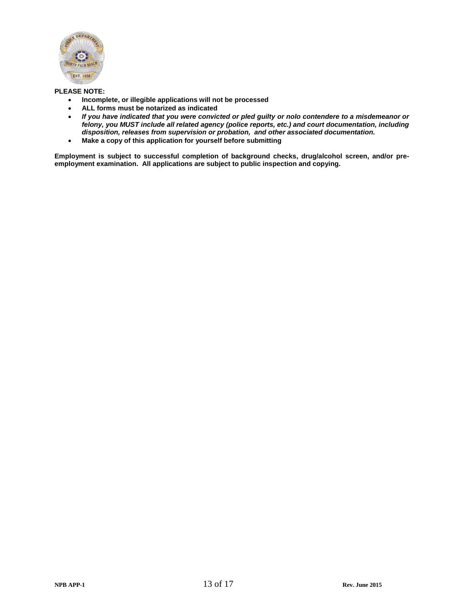

### **PLEASE NOTE:**

- **Incomplete, or illegible applications will not be processed**
- **ALL forms must be notarized as indicated**
- *If you have indicated that you were convicted or pled guilty or nolo contendere to a misdemeanor or felony, you MUST include all related agency (police reports, etc.) and court documentation, including disposition, releases from supervision or probation, and other associated documentation.*
- **Make a copy of this application for yourself before submitting**

**Employment is subject to successful completion of background checks, drug/alcohol screen, and/or preemployment examination. All applications are subject to public inspection and copying.**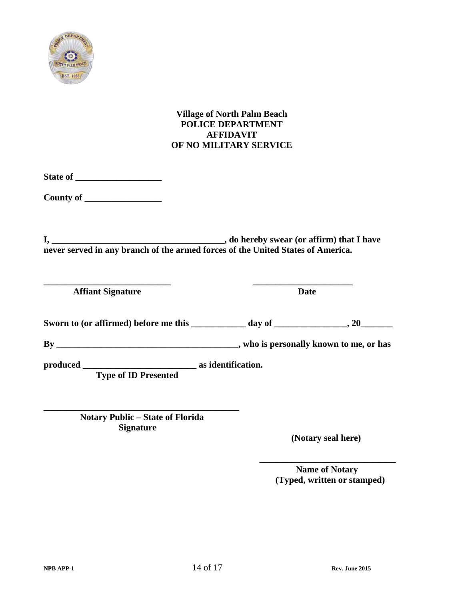

# **Village of North Palm Beach POLICE DEPARTMENT AFFIDAVIT OF NO MILITARY SERVICE**

**State of \_\_\_\_\_\_\_\_\_\_\_\_\_\_\_\_\_\_\_** 

**County of \_\_\_\_\_\_\_\_\_\_\_\_\_\_\_\_\_** 

**I, \_\_\_\_\_\_\_\_\_\_\_\_\_\_\_\_\_\_\_\_\_\_\_\_\_\_\_\_\_\_\_\_\_\_\_\_\_\_, do hereby swear (or affirm) that I have never served in any branch of the armed forces of the United States of America.**

**\_\_\_\_\_\_\_\_\_\_\_\_\_\_\_\_\_\_\_\_\_\_\_\_\_\_\_\_ \_\_\_\_\_\_\_\_\_\_\_\_\_\_\_\_\_\_\_\_\_\_**  *Affiant Signature* Date

Sworn to (or affirmed) before me this \_\_\_\_\_\_\_\_\_\_\_\_ day of \_\_\_\_\_\_\_\_\_\_\_\_\_, 20\_\_\_\_\_\_\_

**By \_\_\_\_\_\_\_\_\_\_\_\_\_\_\_\_\_\_\_\_\_\_\_\_\_\_\_\_\_\_\_\_\_\_\_\_\_\_\_\_, who is personally known to me, or has** 

 **\_\_\_\_\_\_\_\_\_\_\_\_\_\_\_\_\_\_\_\_\_\_\_\_\_\_\_\_\_\_** 

**produced \_\_\_\_\_\_\_\_\_\_\_\_\_\_\_\_\_\_\_\_\_\_\_\_\_ as identification. Type of ID Presented**

**\_\_\_\_\_\_\_\_\_\_\_\_\_\_\_\_\_\_\_\_\_\_\_\_\_\_\_\_\_\_\_\_\_\_\_\_\_\_\_\_\_\_\_ Notary Public – State of Florida Signature** 

 **(Notary seal here)**

 **Name of Notary (Typed, written or stamped)**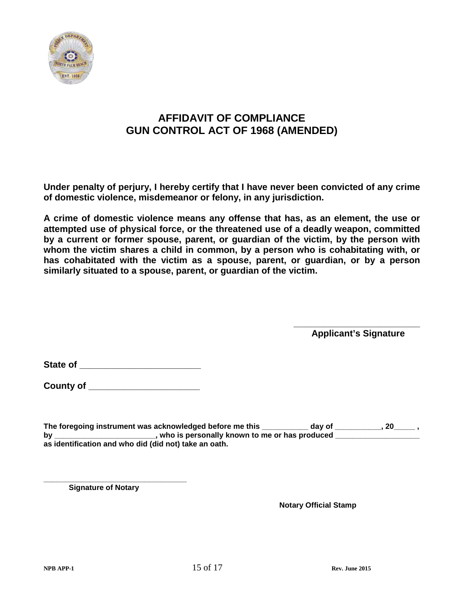

# **AFFIDAVIT OF COMPLIANCE GUN CONTROL ACT OF 1968 (AMENDED)**

**Under penalty of perjury, I hereby certify that I have never been convicted of any crime of domestic violence, misdemeanor or felony, in any jurisdiction.**

**A crime of domestic violence means any offense that has, as an element, the use or attempted use of physical force, or the threatened use of a deadly weapon, committed by a current or former spouse, parent, or guardian of the victim, by the person with whom the victim shares a child in common, by a person who is cohabitating with, or has cohabitated with the victim as a spouse, parent, or guardian, or by a person similarly situated to a spouse, parent, or guardian of the victim.**

> **\_\_\_\_\_\_\_\_\_\_\_\_\_\_\_\_\_\_\_\_\_\_\_\_\_ Applicant's Signature**

**State of \_\_\_\_\_\_\_\_\_\_\_\_\_\_\_\_\_\_\_\_\_\_\_\_**

**County of \_\_\_\_\_\_\_\_\_\_\_\_\_\_\_\_\_\_\_\_\_\_**

**The foregoing instrument was acknowledged before me this \_\_\_\_\_\_\_\_\_\_\_ day of \_\_\_\_\_\_\_\_\_\_\_, 20\_\_\_\_\_ ,**  by \_\_\_\_\_\_\_\_\_\_\_\_\_\_\_\_\_\_\_\_\_\_\_\_\_, who is personally known to me or has produced \_\_\_\_\_\_\_\_\_\_\_\_\_\_\_\_\_\_\_\_\_ **as identification and who did (did not) take an oath.**

**\_\_\_\_\_\_\_\_\_\_\_\_\_\_\_\_\_\_\_\_\_\_\_\_\_\_\_\_\_\_\_\_\_\_ Signature of Notary**

 **Notary Official Stamp**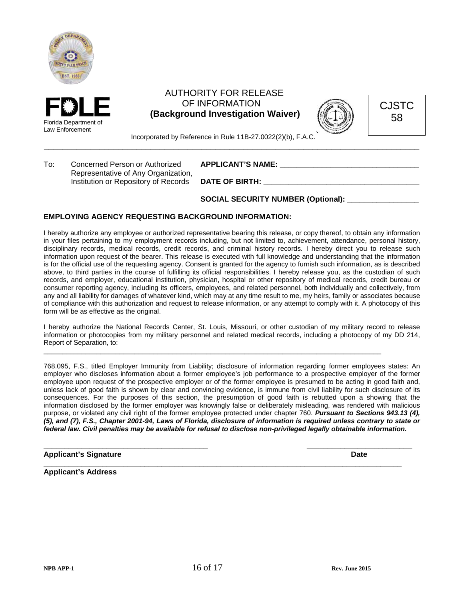



# AUTHORITY FOR RELEASE OF INFORMATION  **(Background Investigation Waiver)**



CJSTC 58

Incorporated by Reference in Rule 11B-27.0022(2)(b), F.A.C.

To: Concerned Person or Authorized **APPLICANT'S NAME: Concerned Person or Authorized APPLICANT'S NAME:** Representative of Any Organization, Institution or Repository of Records **DATE OF BIRTH:** 

**\_\_\_\_\_\_\_\_\_\_\_\_\_\_\_\_\_\_\_\_\_\_\_\_\_\_\_\_\_\_\_\_\_\_\_\_\_\_\_\_\_\_\_\_\_\_\_\_\_\_\_\_\_\_\_\_\_\_\_\_\_\_\_\_\_\_\_\_\_\_\_\_\_\_\_\_\_\_\_\_\_**

**SOCIAL SECURITY NUMBER (Optional): \_\_\_\_\_\_\_\_\_\_\_\_\_\_\_\_\_**

### **EMPLOYING AGENCY REQUESTING BACKGROUND INFORMATION:**

I hereby authorize any employee or authorized representative bearing this release, or copy thereof, to obtain any information in your files pertaining to my employment records including, but not limited to, achievement, attendance, personal history, disciplinary records, medical records, credit records, and criminal history records. I hereby direct you to release such information upon request of the bearer. This release is executed with full knowledge and understanding that the information is for the official use of the requesting agency. Consent is granted for the agency to furnish such information, as is described above, to third parties in the course of fulfilling its official responsibilities. I hereby release you, as the custodian of such records, and employer, educational institution, physician, hospital or other repository of medical records, credit bureau or consumer reporting agency, including its officers, employees, and related personnel, both individually and collectively, from any and all liability for damages of whatever kind, which may at any time result to me, my heirs, family or associates because of compliance with this authorization and request to release information, or any attempt to comply with it. A photocopy of this form will be as effective as the original.

I hereby authorize the National Records Center, St. Louis, Missouri, or other custodian of my military record to release information or photocopies from my military personnel and related medical records, including a photocopy of my DD 214, Report of Separation, to:

\_\_\_\_\_\_\_\_\_\_\_\_\_\_\_\_\_\_\_\_\_\_\_\_\_\_\_\_\_\_\_\_\_\_\_\_\_\_\_\_\_\_\_\_\_\_\_\_\_\_\_\_\_\_\_\_\_\_\_\_\_\_\_\_\_\_\_\_\_\_\_\_\_\_\_\_\_\_\_\_\_\_\_\_\_\_\_\_\_

768.095, F.S., titled Employer Immunity from Liability; disclosure of information regarding former employees states: An employer who discloses information about a former employee's job performance to a prospective employer of the former employee upon request of the prospective employer or of the former employee is presumed to be acting in good faith and, unless lack of good faith is shown by clear and convincing evidence, is immune from civil liability for such disclosure of its consequences. For the purposes of this section, the presumption of good faith is rebutted upon a showing that the information disclosed by the former employer was knowingly false or deliberately misleading, was rendered with malicious purpose, or violated any civil right of the former employee protected under chapter 760. *Pursuant to Sections 943.13 (4), (5), and (7), F.S., Chapter 2001-94, Laws of Florida, disclosure of information is required unless contrary to state or federal law. Civil penalties may be available for refusal to disclose non-privileged legally obtainable information.*

**\_\_\_\_\_\_\_\_\_\_\_\_\_\_\_\_\_\_\_\_\_\_\_\_\_\_\_\_\_\_\_\_\_\_\_\_\_\_\_ \_\_\_\_\_\_\_\_\_\_\_\_\_\_\_\_\_\_\_\_\_\_\_\_\_**

**\_\_\_\_\_\_\_\_\_\_\_\_\_\_\_\_\_\_\_\_\_\_\_\_\_\_\_\_\_\_\_\_\_\_\_\_\_\_\_\_\_\_\_\_\_\_\_\_\_\_\_\_\_\_\_\_\_\_\_\_\_\_\_\_\_\_\_\_\_\_\_\_\_\_\_\_\_\_\_\_\_\_\_\_\_**

**Applicant's Signature Date** 

**Applicant's Address**